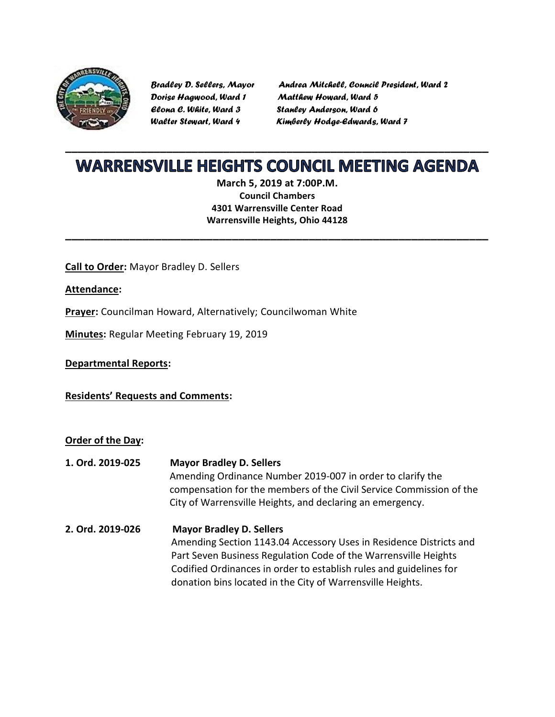

*Dorise Hagwood, Ward 1 Matthew Howard, Ward 5 Elona C. White, Ward 3 Stanley Anderson, Ward 6*

*Bradley D. Sellers, Mayor Andrea Mitchell, Council President, Ward 2 Walter Stewart, Ward 4 Kimberly Hodge-Edwards, Ward 7*

## **\_\_\_\_\_\_\_\_\_\_\_\_\_\_\_\_\_\_\_\_\_\_\_\_\_\_\_\_\_\_\_\_\_\_\_\_\_\_\_\_\_\_\_\_\_\_\_\_\_\_\_\_\_\_\_\_\_\_\_\_\_\_\_\_\_\_\_ WARRENSVILLE HEIGHTS COUNCIL MEETING AGENDA**

**March 5, 2019 at 7:00P.M. Council Chambers 4301 Warrensville Center Road Warrensville Heights, Ohio 44128**

**\_\_\_\_\_\_\_\_\_\_\_\_\_\_\_\_\_\_\_\_\_\_\_\_\_\_\_\_\_\_\_\_\_\_\_\_\_\_\_\_\_\_\_\_\_\_\_\_\_\_\_\_\_\_\_\_\_\_\_\_\_\_\_\_\_\_**

**Call to Order:** Mayor Bradley D. Sellers

**Attendance:**

**Prayer:** Councilman Howard, Alternatively; Councilwoman White

**Minutes:** Regular Meeting February 19, 2019

**Departmental Reports:**

**Residents' Requests and Comments:**

**Order of the Day:**

**1. Ord. 2019-025 Mayor Bradley D. Sellers** Amending Ordinance Number 2019-007 in order to clarify the compensation for the members of the Civil Service Commission of the City of Warrensville Heights, and declaring an emergency. **2. Ord. 2019-026 Mayor Bradley D. Sellers**  Amending Section 1143.04 Accessory Uses in Residence Districts and Part Seven Business Regulation Code of the Warrensville Heights Codified Ordinances in order to establish rules and guidelines for donation bins located in the City of Warrensville Heights.